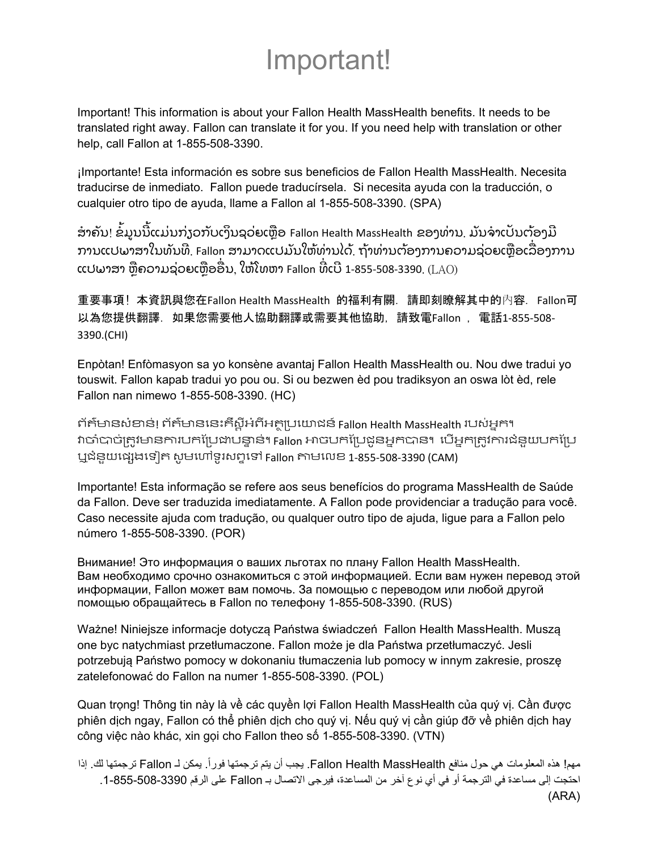## Important!

Important! This information is about your Fallon Health MassHealth benefits. It needs to be translated right away. Fallon can translate it for you. If you need help with translation or other help, call Fallon at 1-855-508-3390.

¡Importante! Esta información es sobre sus beneficios de Fallon Health MassHealth. Necesita traducirse de inmediato. Fallon puede traducírsela. Si necesita ayuda con la traducción, o cualquier otro tipo de ayuda, llame a Fallon al 1-855-508-3390. (SPA)

ໍ ສາຄັນ! ຂໍ້ມູນນີ້ແມ່ນກ່ຽວກັບເງິນຊວ່ຍເຫຼືອ Fallon Health MassHealth ຂອງທ່ານ. ມັນຈ່າເປັນຕ້ອງມີ ການແປພາສາໃນທັນທີ່. Fallon ສາມາດແປມັນໃຫ້ທ່ານໄດ້. ຖ້າທ່ານຕ້ອງການຄວາມຊ່ວຍເຫຼືອເລື່ອງການ ແປພາສາ ຫຼືຄວາມຊ່ວຍເຫຼືອອື່ນ, ໃຫ້ໂທຫາ Fallon ທີ່ເບີ 1-855-508-3390. ( ${\rm LAO}$ ) ່

重要事項! 本資訊與您在Fallon Health MassHealth 的福利有關. 請即刻瞭解其中的內容. Fallon可 以為您提供翻譯. 如果您需要他人協助翻譯或需要其他協助, 請致電Fallon , 電話1‐855‐508‐ 3390.(CHI)

Enpòtan! Enfòmasyon sa yo konsène avantaj Fallon Health MassHealth ou. Nou dwe tradui yo touswit. Fallon kapab tradui yo pou ou. Si ou bezwen èd pou tradiksyon an oswa lòt èd, rele Fallon nan nimewo 1-855-508-3390. (HC)

ព័ត៌មានសំខាន់! ព័ត៌មាននេះគឺស្តីអំពីអត្ថប្រយោជន៍ Fallon Health MassHealth របស់អ្នក។ វាចាំបាច់ត្រូវមានការបកប្រែដាបន្ទាន់។ Fallon អាចបកប្រែដូនអ្នកបាន។ បើអ្នកត្រូវការជំនួយបកប្រែ ឬជំនួយេផសងេទៀត សូមេហៅទូរសពទេទៅ Fallon តាមេលខ 1‐855‐508‐3390 (CAM)

Importante! Esta informação se refere aos seus benefícios do programa MassHealth de Saúde da Fallon. Deve ser traduzida imediatamente. A Fallon pode providenciar a tradução para você. Caso necessite ajuda com tradução, ou qualquer outro tipo de ajuda, ligue para a Fallon pelo número 1-855-508-3390. (POR)

Внимание! Это информация о ваших льготах по плану Fallon Health MassHealth. Вам необходимо срочно ознакомиться с этой информацией. Если вам нужен перевод этой информации, Fallon может вам помочь. За помощью с переводом или любой другой помощью обращайтесь в Fallon по телефону 1-855-508-3390. (RUS)

Ważne! Niniejsze informacje dotyczą Państwa świadczeń Fallon Health MassHealth. Muszą one byc natychmiast przetłumaczone. Fallon może je dla Państwa przetłumaczyć. Jesli potrzebują Państwo pomocy w dokonaniu tłumaczenia lub pomocy w innym zakresie, proszę zatelefonować do Fallon na numer 1-855-508-3390. (POL)

Quan trọng! Thông tin này là về các quyền lợi Fallon Health MassHealth của quý vị. Cần được phiên dịch ngay, Fallon có thể phiên dịch cho quý vị. Nếu quý vị cần giúp đỡ về phiên dịch hay công việc nào khác, xin gọi cho Fallon theo số 1-855-508-3390. (VTN)

مهم! هذه المعلومات هي حول منافع Fallon Health MassHealth. يجب أن يتم ترجمتها فوراً. يمكن لـ Fallon ترجمتها لك. إذا احتجت إلى مساعدة في الترجمة أو في أي نوع آخر من المساعدة، فيرجى االتصال بـ Fallon على الرقم .1-855-508-3390 (ARA)